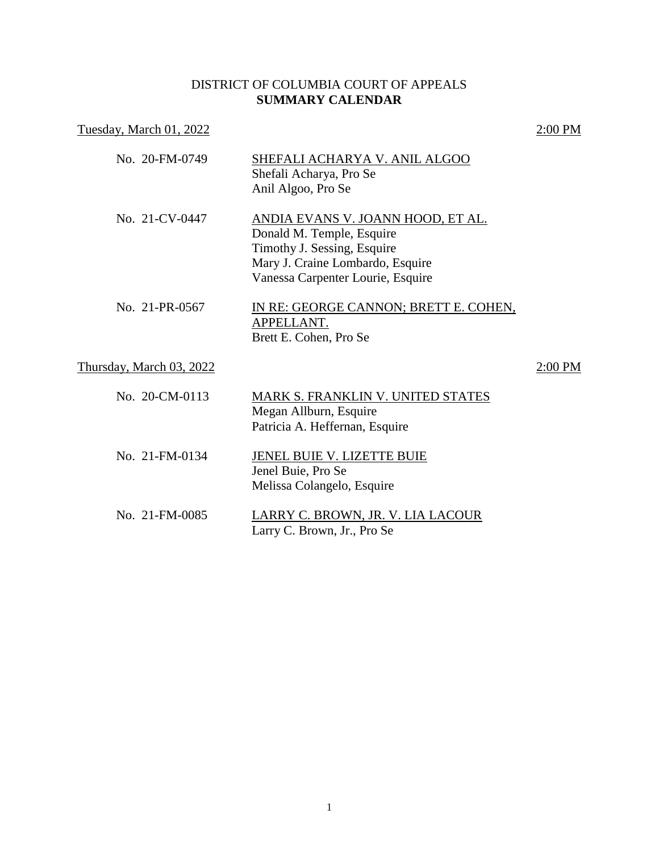## DISTRICT OF COLUMBIA COURT OF APPEALS **SUMMARY CALENDAR**

| Tuesday, March 01, 2022  |                                                                                                                                                                        | 2:00 PM   |
|--------------------------|------------------------------------------------------------------------------------------------------------------------------------------------------------------------|-----------|
| No. 20-FM-0749           | SHEFALI ACHARYA V. ANIL ALGOO<br>Shefali Acharya, Pro Se<br>Anil Algoo, Pro Se                                                                                         |           |
| No. 21-CV-0447           | ANDIA EVANS V. JOANN HOOD, ET AL.<br>Donald M. Temple, Esquire<br>Timothy J. Sessing, Esquire<br>Mary J. Craine Lombardo, Esquire<br>Vanessa Carpenter Lourie, Esquire |           |
| No. 21-PR-0567           | IN RE: GEORGE CANNON; BRETT E. COHEN,<br>APPELLANT.<br>Brett E. Cohen, Pro Se                                                                                          |           |
| Thursday, March 03, 2022 |                                                                                                                                                                        | $2:00$ PM |
| No. 20-CM-0113           | MARK S. FRANKLIN V. UNITED STATES<br>Megan Allburn, Esquire<br>Patricia A. Heffernan, Esquire                                                                          |           |
| No. 21-FM-0134           | <b>JENEL BUIE V. LIZETTE BUIE</b><br>Jenel Buie, Pro Se<br>Melissa Colangelo, Esquire                                                                                  |           |
| No. 21-FM-0085           | LARRY C. BROWN, JR. V. LIA LACOUR<br>Larry C. Brown, Jr., Pro Se                                                                                                       |           |